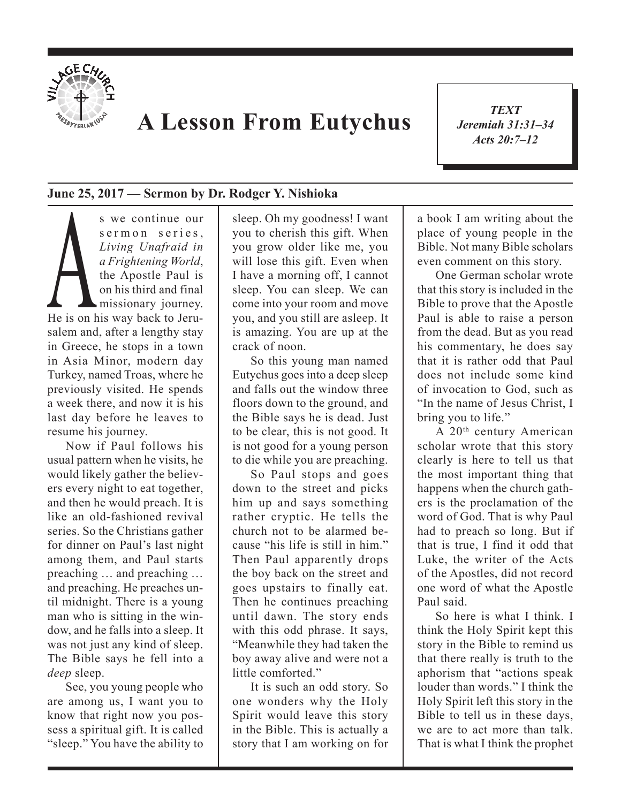

## **A Lesson From Eutychus**

*TEXT Jeremiah 31:31–34 Acts 20:7–12*

1

## **June 25, 2017 — Sermon by Dr. Rodger Y. Nishioka**

s we continue our<br>sermon series,<br>Living Unafraid in<br>a Frightening World,<br>the Apostle Paul is<br>on his third and final<br>missionary journey.<br>He is on his way back to Jerus e r m o n series, *Living Unafraid in a Frightening World*, the Apostle Paul is on his third and final missionary journey. He is on his way back to Jerusalem and, after a lengthy stay in Greece, he stops in a town in Asia Minor, modern day Turkey, named Troas, where he previously visited. He spends a week there, and now it is his last day before he leaves to resume his journey.

Now if Paul follows his usual pattern when he visits, he would likely gather the believers every night to eat together, and then he would preach. It is like an old-fashioned revival series. So the Christians gather for dinner on Paul's last night among them, and Paul starts preaching … and preaching … and preaching. He preaches until midnight. There is a young man who is sitting in the window, and he falls into a sleep. It was not just any kind of sleep. The Bible says he fell into a *deep* sleep.

See, you young people who are among us, I want you to know that right now you possess a spiritual gift. It is called "sleep." You have the ability to

sleep. Oh my goodness! I want you to cherish this gift. When you grow older like me, you will lose this gift. Even when I have a morning off, I cannot sleep. You can sleep. We can come into your room and move you, and you still are asleep. It is amazing. You are up at the crack of noon.

So this young man named Eutychus goes into a deep sleep and falls out the window three floors down to the ground, and the Bible says he is dead. Just to be clear, this is not good. It is not good for a young person to die while you are preaching.

So Paul stops and goes down to the street and picks him up and says something rather cryptic. He tells the church not to be alarmed because "his life is still in him." Then Paul apparently drops the boy back on the street and goes upstairs to finally eat. Then he continues preaching until dawn. The story ends with this odd phrase. It says, "Meanwhile they had taken the boy away alive and were not a little comforted."

It is such an odd story. So one wonders why the Holy Spirit would leave this story in the Bible. This is actually a story that I am working on for a book I am writing about the place of young people in the Bible. Not many Bible scholars even comment on this story.

One German scholar wrote that this story is included in the Bible to prove that the Apostle Paul is able to raise a person from the dead. But as you read his commentary, he does say that it is rather odd that Paul does not include some kind of invocation to God, such as "In the name of Jesus Christ, I bring you to life."

A 20th century American scholar wrote that this story clearly is here to tell us that the most important thing that happens when the church gathers is the proclamation of the word of God. That is why Paul had to preach so long. But if that is true, I find it odd that Luke, the writer of the Acts of the Apostles, did not record one word of what the Apostle Paul said.

So here is what I think. I think the Holy Spirit kept this story in the Bible to remind us that there really is truth to the aphorism that "actions speak louder than words." I think the Holy Spirit left this story in the Bible to tell us in these days, we are to act more than talk. That is what I think the prophet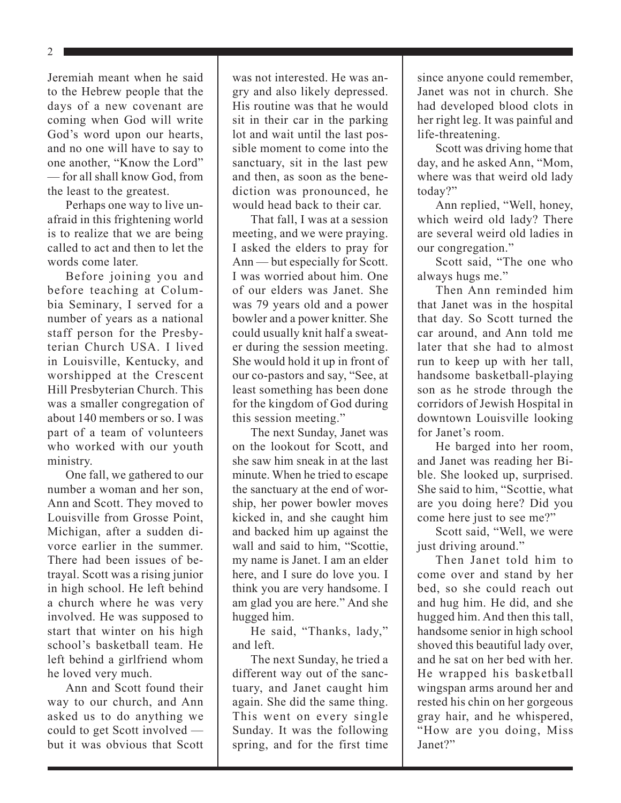2

Jeremiah meant when he said to the Hebrew people that the days of a new covenant are coming when God will write God's word upon our hearts, and no one will have to say to one another, "Know the Lord" — for all shall know God, from the least to the greatest.

Perhaps one way to live unafraid in this frightening world is to realize that we are being called to act and then to let the words come later.

Before joining you and before teaching at Columbia Seminary, I served for a number of years as a national staff person for the Presbyterian Church USA. I lived in Louisville, Kentucky, and worshipped at the Crescent Hill Presbyterian Church. This was a smaller congregation of about 140 members or so. I was part of a team of volunteers who worked with our youth ministry.

One fall, we gathered to our number a woman and her son, Ann and Scott. They moved to Louisville from Grosse Point, Michigan, after a sudden divorce earlier in the summer. There had been issues of betrayal. Scott was a rising junior in high school. He left behind a church where he was very involved. He was supposed to start that winter on his high school's basketball team. He left behind a girlfriend whom he loved very much.

Ann and Scott found their way to our church, and Ann asked us to do anything we could to get Scott involved but it was obvious that Scott

was not interested. He was angry and also likely depressed. His routine was that he would sit in their car in the parking lot and wait until the last possible moment to come into the sanctuary, sit in the last pew and then, as soon as the benediction was pronounced, he would head back to their car.

That fall, I was at a session meeting, and we were praying. I asked the elders to pray for Ann — but especially for Scott. I was worried about him. One of our elders was Janet. She was 79 years old and a power bowler and a power knitter. She could usually knit half a sweater during the session meeting. She would hold it up in front of our co-pastors and say, "See, at least something has been done for the kingdom of God during this session meeting."

The next Sunday, Janet was on the lookout for Scott, and she saw him sneak in at the last minute. When he tried to escape the sanctuary at the end of worship, her power bowler moves kicked in, and she caught him and backed him up against the wall and said to him, "Scottie, my name is Janet. I am an elder here, and I sure do love you. I think you are very handsome. I am glad you are here." And she hugged him.

He said, "Thanks, lady," and left.

The next Sunday, he tried a different way out of the sanctuary, and Janet caught him again. She did the same thing. This went on every single Sunday. It was the following spring, and for the first time since anyone could remember, Janet was not in church. She had developed blood clots in her right leg. It was painful and life-threatening.

Scott was driving home that day, and he asked Ann, "Mom, where was that weird old lady today?"

Ann replied, "Well, honey, which weird old lady? There are several weird old ladies in our congregation."

Scott said, "The one who always hugs me."

Then Ann reminded him that Janet was in the hospital that day. So Scott turned the car around, and Ann told me later that she had to almost run to keep up with her tall, handsome basketball-playing son as he strode through the corridors of Jewish Hospital in downtown Louisville looking for Janet's room.

He barged into her room, and Janet was reading her Bible. She looked up, surprised. She said to him, "Scottie, what are you doing here? Did you come here just to see me?"

Scott said, "Well, we were just driving around."

Then Janet told him to come over and stand by her bed, so she could reach out and hug him. He did, and she hugged him. And then this tall, handsome senior in high school shoved this beautiful lady over, and he sat on her bed with her. He wrapped his basketball wingspan arms around her and rested his chin on her gorgeous gray hair, and he whispered, "How are you doing, Miss Janet?"